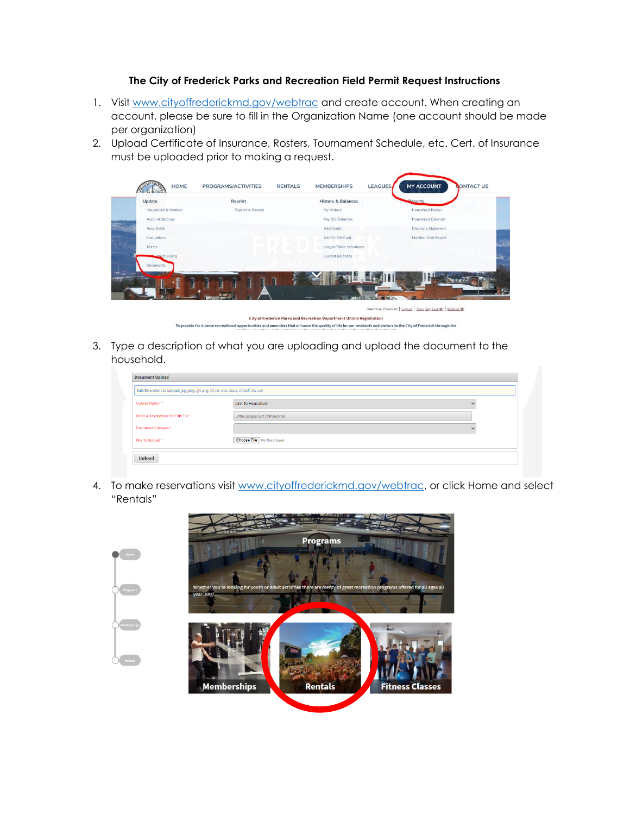## **The City of Frederick Parks and Recreation Field Permit Request Instructions**

- 1. Visit [www.cityoffrederickmd.gov/webtrac](http://www.cityoffrederickmd.gov/webtrac) and create account. When creating an account, please be sure to fill in the Organization Name (one account should be made per organization)
- 2. Upload Certificate of Insurance, Rosters, Tournament Schedule, etc. Cert. of Insurance must be uploaded prior to making a request.

| <b>HOME</b>             | PROGRAMS/ACTIVITIES                                                                                                                                                  | <b>RENTALS</b>                                                        | <b>MEMBERSHIPS</b>            | <b>LEAGUES</b> | <b>MY ACCOUNT</b>                                              | <b>CONTACT US</b> |
|-------------------------|----------------------------------------------------------------------------------------------------------------------------------------------------------------------|-----------------------------------------------------------------------|-------------------------------|----------------|----------------------------------------------------------------|-------------------|
| Update                  | Reprint                                                                                                                                                              |                                                                       | <b>History &amp; Balances</b> |                | Penorts                                                        |                   |
| Household & Member      | Reprint A Receipt                                                                                                                                                    |                                                                       | My History                    |                | Household Roster                                               |                   |
| <b>Account Settings</b> |                                                                                                                                                                      |                                                                       | Pay Old Balances              |                | Household Calendar                                             |                   |
| Auto Debit              |                                                                                                                                                                      |                                                                       | Add Credit                    |                | Childcare Statement                                            |                   |
| Evaluations             |                                                                                                                                                                      |                                                                       | Add To Gift Card              |                | Member Visit Report                                            |                   |
| <b>Teams</b>            |                                                                                                                                                                      |                                                                       | League/Team Schedules         |                |                                                                |                   |
| <b>Hovent Billing</b>   |                                                                                                                                                                      |                                                                       | Current Balances              |                |                                                                |                   |
| Documents               |                                                                                                                                                                      |                                                                       |                               |                |                                                                |                   |
|                         |                                                                                                                                                                      |                                                                       | 二中田                           |                |                                                                |                   |
|                         |                                                                                                                                                                      |                                                                       |                               |                | Welcome, Poulin #2   Logout   Shopping Cart (0)   Wishlist (0) |                   |
|                         |                                                                                                                                                                      | City of Frederick Parks and Recreation Department Online Registration |                               |                |                                                                |                   |
|                         | To provide for diverse recreational opportunities and amenities that enhance the quality of life for our residents and visitors to the City of Frederick through the |                                                                       |                               |                |                                                                |                   |

3. Type a description of what you are uploading and upload the document to the household.

| Safe Extensions to upload: jpg, jpeg, gif, png, tif, txt, doc, docx, rtf, pdf, xls, csv |                                 |              |
|-----------------------------------------------------------------------------------------|---------------------------------|--------------|
| Upload Option*                                                                          | <b>Link To Household</b>        | $\checkmark$ |
| Enter A Description For This File *                                                     | Little League Cert of Insurance |              |
| Document Category *                                                                     |                                 |              |
| File To Upload *                                                                        | Choose File No file chosen      |              |

4. To make reservations visit [www.cityoffrederickmd.gov/webtrac,](http://www.cityoffrederickmd.gov/webtrac) or click Home and select "Rentals"

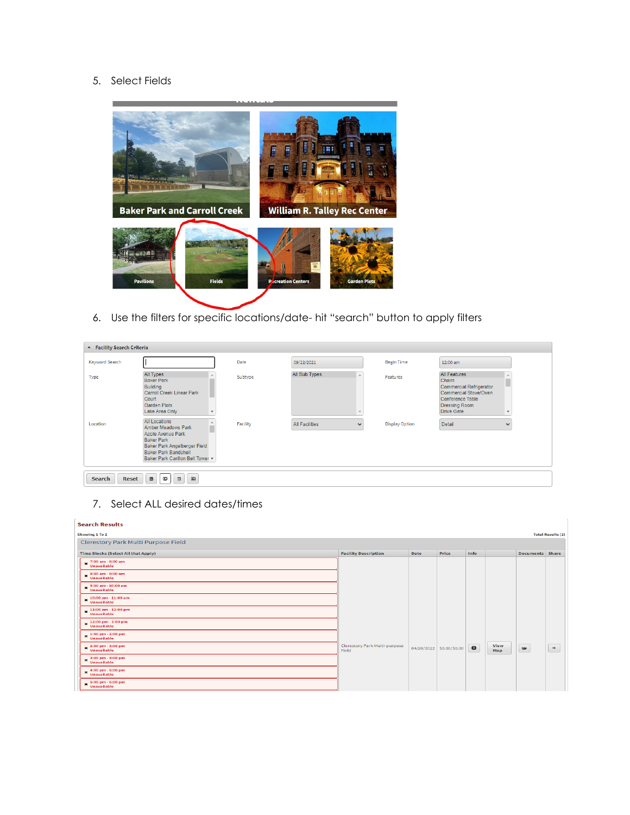## 5. Select Fields



6. Use the filters for specific locations/date- hit "search" button to apply filters

| ▲ Facility Search Criteria |                                                                                                                                                                                                |          |                |                       |                                                                                                                                                                  |  |  |
|----------------------------|------------------------------------------------------------------------------------------------------------------------------------------------------------------------------------------------|----------|----------------|-----------------------|------------------------------------------------------------------------------------------------------------------------------------------------------------------|--|--|
| Keyword Search             |                                                                                                                                                                                                | Date     | 09/22/2021     | <b>Begin Time</b>     | 12:00 am                                                                                                                                                         |  |  |
| Type                       | <b>All Types</b><br><b>Baker Park</b><br><b>Building</b><br><b>Carroll Creek Linear Park</b><br>Court<br>Garden Plots<br>Lake Area Only                                                        | Subtype  | All Sub Types  | Features              | <b>All Features</b><br><b>Chairs</b><br><b>Commercial Refrigerator</b><br>Commercial Stove/Oven<br>Conference Table<br><b>Dressing Room</b><br><b>Drive Gate</b> |  |  |
| Location                   | <b>All Locations</b><br><b>Amber Meadows Park</b><br>Apple Avenue Park<br><b>Baker Park</b><br>Baker Park Angelberger Field<br><b>Baker Park Bandshell</b><br>Baker Park Carillon Bell Tower v | Facility | All Facilities | <b>Display Option</b> | Detail<br>w                                                                                                                                                      |  |  |
| Reset<br><b>Search</b>     | $\qquad \qquad \text{and} \qquad \qquad$<br>鱼<br>$\qquad \qquad \blacksquare$<br>$\Box$                                                                                                        |          |                |                       |                                                                                                                                                                  |  |  |

7. Select ALL desired dates/times

|                                        |             |       |                          |             |          | <b>Total Results (2)</b> |
|----------------------------------------|-------------|-------|--------------------------|-------------|----------|--------------------------|
|                                        |             |       |                          |             |          |                          |
| <b>Facility Description</b>            | <b>Date</b> | Price | Info                     |             |          |                          |
|                                        |             |       |                          |             |          |                          |
|                                        |             |       |                          |             |          |                          |
|                                        |             |       |                          |             |          |                          |
|                                        |             |       |                          |             |          |                          |
|                                        |             |       |                          |             |          |                          |
|                                        |             |       |                          |             |          |                          |
|                                        |             |       |                          |             |          |                          |
| Clerestory Park Multi-purpose<br>Field |             |       | $\bullet$                | View<br>Map | $\equiv$ | $\prec$                  |
|                                        |             |       |                          |             |          |                          |
|                                        |             |       |                          |             |          |                          |
|                                        |             |       |                          |             |          |                          |
|                                        |             |       | 04/20/2022 \$0.00/\$0.00 |             |          | <b>Documents</b> Share   |